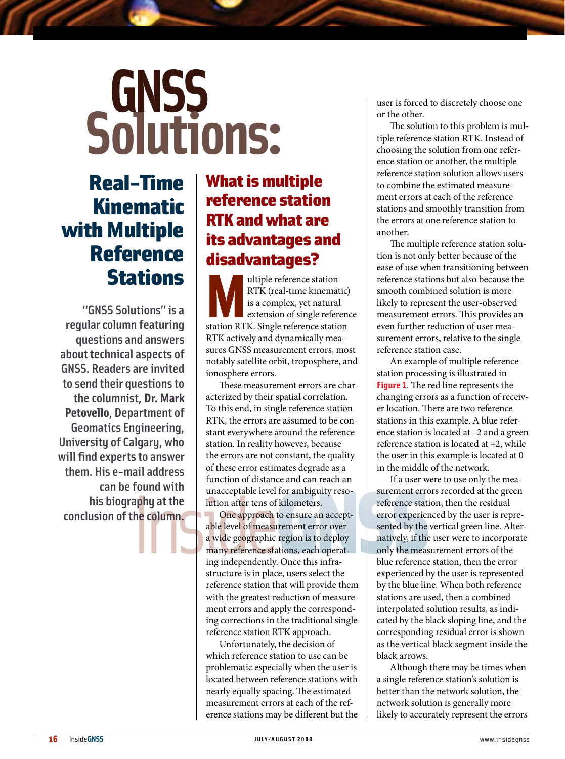# **GNSS**<br>Solutions:

## Real-Time Kinematic with Multiple Reference Stations

"GNSS Solutions" is a regular column featuring questions and answers about technical aspects of GNSS. Readers are invited to send their questions to the columnist, **Dr. Mark Petovello**, Department of Geomatics Engineering, University of Calgary, who will find experts to answer them. His e-mail address can be found with his biography at the conclusion of the column.

## **What is multiple** reference station RTK andwhat are its advantages and disadvantages?

Multiple reference station<br>
RTK (real-time kinematic)<br>
is a complex, yet natural<br>
extension of single reference<br>
station RTK. Single reference station RTK (real-time kinematic) is a complex, yet natural extension of single reference RTK actively and dynamically measures GNSS measurement errors, most notably satellite orbit, troposphere, and ionosphere errors.

These measurement errors are characterized by their spatial correlation. To this end, in single reference station RTK, the errors are assumed to be constant everywhere around the reference station. In reality however, because the errors are not constant, the quality of these error estimates degrade as a function of distance and can reach an unacceptable level for ambiguity resolution after tens of kilometers.

One approach to ensure an acceptable level of measurement error over a wide geographic region is to deploy many reference stations, each operating independently. Once this infrastructure is in place, users select the reference station that will provide them with the greatest reduction of measurement errors and apply the corresponding corrections in the traditional single reference station RTK approach.

Unfortunately, the decision of which reference station to use can be problematic especially when the user is located between reference stations with nearly equally spacing. The estimated measurement errors at each of the reference stations may be different but the user is forced to discretely choose one or the other.

The solution to this problem is multiple reference station RTK. Instead of choosing the solution from one reference station or another, the multiple reference station solution allows users to combine the estimated measurement errors at each of the reference stations and smoothly transition from the errors at one reference station to another.

The multiple reference station solution is not only better because of the ease of use when transitioning between reference stations but also because the smooth combined solution is more likely to represent the user-observed measurement errors. This provides an even further reduction of user measurement errors, relative to the single reference station case.

An example of multiple reference station processing is illustrated in **Figure 1**. The red line represents the changing errors as a function of receiver location. There are two reference stations in this example. A blue reference station is located at –2 and a green reference station is located at +2, while the user in this example is located at 0 in the middle of the network.

If a user were to use only the measurement errors recorded at the green reference station, then the residual error experienced by the user is represented by the vertical green line. Alternatively, if the user were to incorporate only the measurement errors of the blue reference station, then the error experienced by the user is represented by the blue line. When both reference stations are used, then a combined interpolated solution results, as indicated by the black sloping line, and the corresponding residual error is shown as the vertical black segment inside the black arrows.

Although there may be times when a single reference station's solution is better than the network solution, the network solution is generally more likely to accurately represent the errors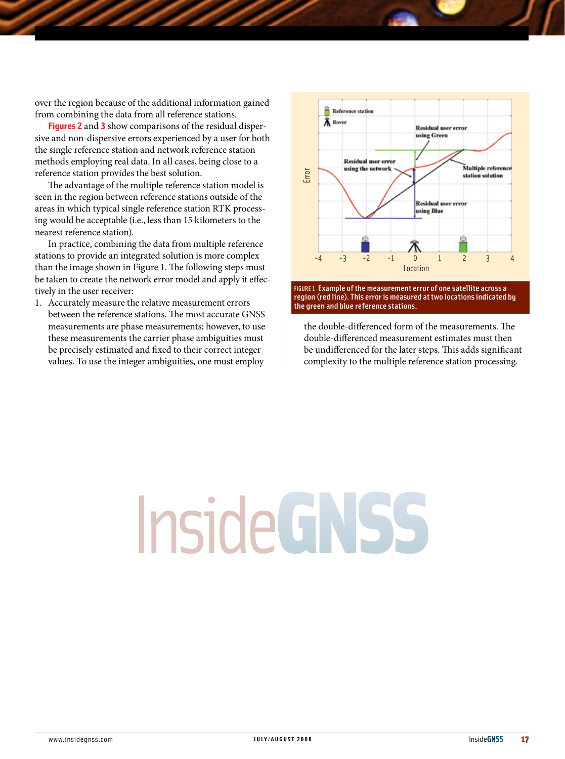over the region because of the additional information gained from combining the data from all reference stations.

**Figures 2** and **3** show comparisons of the residual dispersive and non-dispersive errors experienced by a user for both the single reference station and network reference station methods employing real data. In all cases, being close to a reference station provides the best solution.

The advantage of the multiple reference station model is seen in the region between reference stations outside of the areas in which typical single reference station RTK processing would be acceptable (i.e., less than 15 kilometers to the nearest reference station).

In practice, combining the data from multiple reference stations to provide an integrated solution is more complex than the image shown in Figure 1. The following steps must be taken to create the network error model and apply it effectively in the user receiver:

1. Accurately measure the relative measurement errors between the reference stations. The most accurate GNSS measurements are phase measurements; however, to use these measurements the carrier phase ambiguities must be precisely estimated and fixed to their correct integer values. To use the integer ambiguities, one must employ



FIGURE 1 Example of the measurement error of one satellite across a region (red line). This error is measured at two locations indicated by

the double-differenced form of the measurements. The double-differenced measurement estimates must then be undifferenced for the later steps. This adds significant complexity to the multiple reference station processing.

## Inside GNSS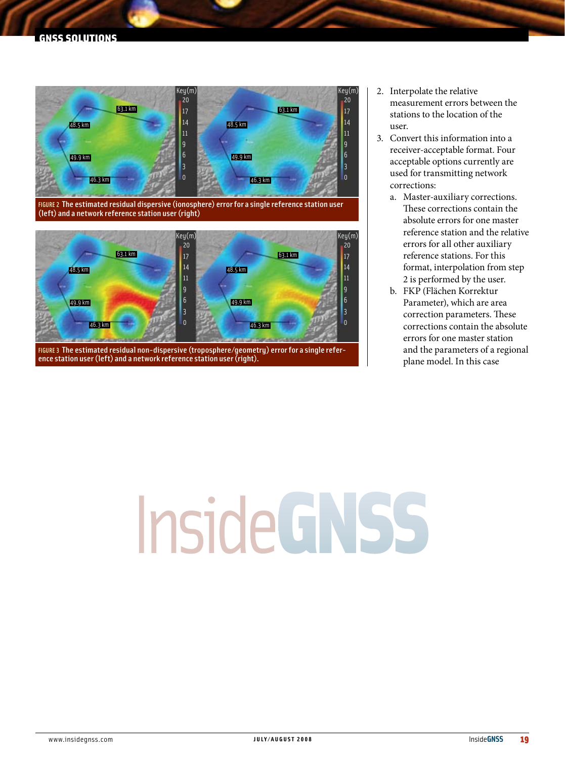## GNSS SOLUTIONS



FIGURE 2 The estimated residual dispersive (ionosphere) error for a single reference station user (left) and a network reference station user (right)



FIGURE 3 The estimated residual non-dispersive (troposphere/geometry) error for a single reference station user (left) and a network reference station user (right).

- 2. Interpolate the relative measurement errors between the stations to the location of the user.
- 3. Convert this information into a receiver-acceptable format. Four acceptable options currently are used for transmitting network corrections:
	- a. Master-auxiliary corrections. These corrections contain the absolute errors for one master reference station and the relative errors for all other auxiliary reference stations. For this format, interpolation from step 2 is performed by the user.
	- b. FKP (Flächen Korrektur Parameter), which are area correction parameters. These corrections contain the absolute errors for one master station and the parameters of a regional plane model. In this case

## **InsideGNSS**